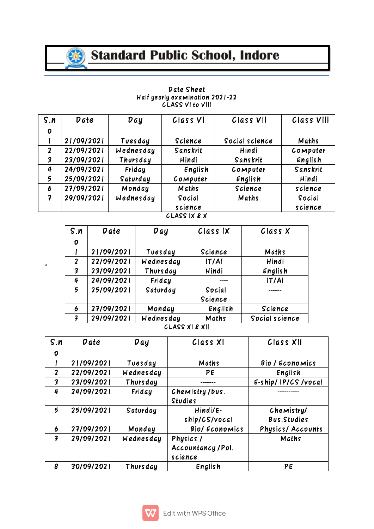

## Standard Public School, Indore

| S.n | <b>Date</b> | Day       | Class VI    | Class VII      | Class VIII |
|-----|-------------|-----------|-------------|----------------|------------|
| 0   |             |           |             |                |            |
|     | 21/09/2021  | Tuesday   | Science     | Social science | Maths      |
| 2   | 22/09/2021  | Wednesday | Sanskrit    | Hindi          | Computer   |
| 3   | 23/09/2021  | Thursday  | Hindi       | Sanskrit       | English    |
| 4   | 24/09/2021  | Friday    | English     | Computer       | Sanskrit   |
| 5   | 25/09/2021  | Saturday  | Computer    | English        | Hindi      |
| O   | 27/09/2021  | Monday    | Maths       | Science        | science    |
|     | 29/09/2021  | Wednesday | Social      | Maths          | Social     |
|     |             |           | science     |                | science    |
|     |             |           | 21.10011201 |                |            |

## Date Sheet Halfyearlyexamination2021-22**CLASS VI to VIII**

CLASSIX&X

| S.n              | Date       | Day       | Class IX          | Class X        |
|------------------|------------|-----------|-------------------|----------------|
| $\boldsymbol{0}$ |            |           |                   |                |
|                  | 21/09/2021 | Tuesday   | Science           | Maths          |
| $\boldsymbol{2}$ | 22/09/2021 | Wednesday | T/A               | Hindi          |
| 3                | 23/09/2021 | Thursday  | Hindi             | English        |
| 4                | 24/09/2021 | Friday    | ----              | IT/AI          |
| 5                | 25/09/2021 | Saturday  | Social<br>Science | ------         |
| 6                | 27/09/2021 | Monday    | English           | Science        |
| 7                | 29/09/2021 | Wednesday | Maths             | Social science |

CLASSXI&XII

| S.n          | Date       | Dgy       | Class XI                                   | Class XII                  |  |
|--------------|------------|-----------|--------------------------------------------|----------------------------|--|
| 0            |            |           |                                            |                            |  |
|              | 21/09/2021 | Tuesday   | Maths                                      | Bio / Economics            |  |
| $\mathbf{2}$ | 22/09/2021 | Wednesday | PE                                         | English                    |  |
| 3            | 23/09/2021 | Thursday  | -------                                    | E-ship/IP/CS/vocal         |  |
| 4            | 24/09/2021 | Friday    | Chemistry/bus.<br><b>Studies</b>           | .                          |  |
| 5            | 25/09/2021 | Saturday  | $Hindi/E-$<br>ship/CS/vocal                | Chemistry/<br>Bus. Studies |  |
| 6            | 27/09/2021 | Monday    | Bio/ Economics                             | <b>Physics/Accounts</b>    |  |
| 7            | 29/09/2021 | Wednesday | Physics /<br>Accountancy / Pol.<br>science | Maths                      |  |
| 8            | 30/09/2021 | Thursday  | English                                    | PE                         |  |